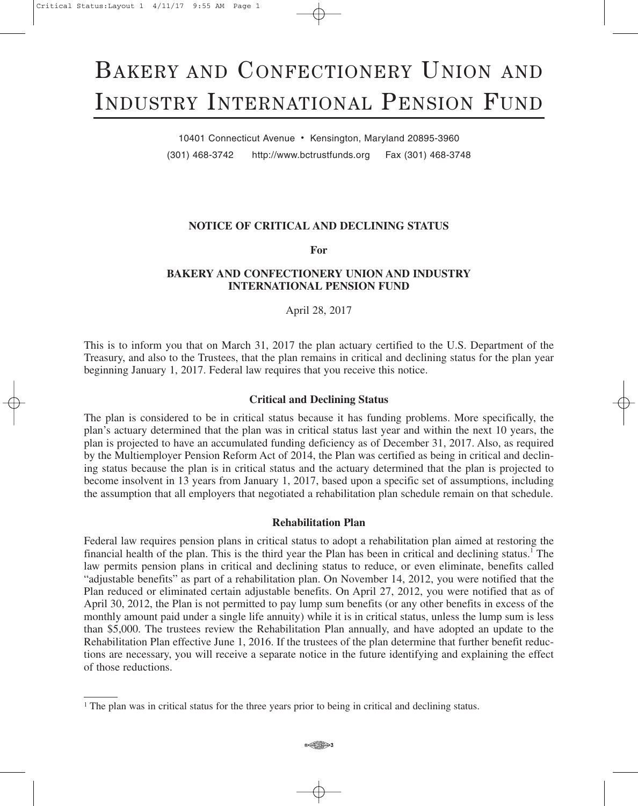# BAKERY AND CONFECTIONERY UNION AND INDUSTRY INTERNATIONAL PENSION FUND

10401 Connecticut Avenue • Kensington, Maryland 20895-3960 (301) 468-3742 http://www.bctrustfunds.org Fax (301) 468-3748

## **NOTICE OF CRITICAL AND DECLINING STATUS**

**For**

## **BAKERY AND CONFECTIONERY UNION AND INDUSTRY INTERNATIONAL PENSION FUND**

April 28, 2017

This is to inform you that on March 31, 2017 the plan actuary certified to the U.S. Department of the Treasury, and also to the Trustees, that the plan remains in critical and declining status for the plan year beginning January 1, 2017. Federal law requires that you receive this notice.

### **Critical and Declining Status**

The plan is considered to be in critical status because it has funding problems. More specifically, the plan's actuary determined that the plan was in critical status last year and within the next 10 years, the plan is projected to have an accumulated funding deficiency as of December 31, 2017. Also, as required by the Multiemployer Pension Reform Act of 2014, the Plan was certified as being in critical and declining status because the plan is in critical status and the actuary determined that the plan is projected to become insolvent in 13 years from January 1, 2017, based upon a specific set of assumptions, including the assumption that all employers that negotiated a rehabilitation plan schedule remain on that schedule.

#### **Rehabilitation Plan**

Federal law requires pension plans in critical status to adopt a rehabilitation plan aimed at restoring the financial health of the plan. This is the third year the Plan has been in critical and declining status. <sup>1</sup> The law permits pension plans in critical and declining status to reduce, or even eliminate, benefits called "adjustable benefits" as part of a rehabilitation plan. On November 14, 2012, you were notified that the Plan reduced or eliminated certain adjustable benefits. On April 27, 2012, you were notified that as of April 30, 2012, the Plan is not permitted to pay lump sum benefits (or any other benefits in excess of the monthly amount paid under a single life annuity) while it is in critical status, unless the lump sum is less than \$5,000. The trustees review the Rehabilitation Plan annually, and have adopted an update to the Rehabilitation Plan effective June 1, 2016. If the trustees of the plan determine that further benefit reductions are necessary, you will receive a separate notice in the future identifying and explaining the effect of those reductions.

<sup>&</sup>lt;sup>1</sup> The plan was in critical status for the three years prior to being in critical and declining status.